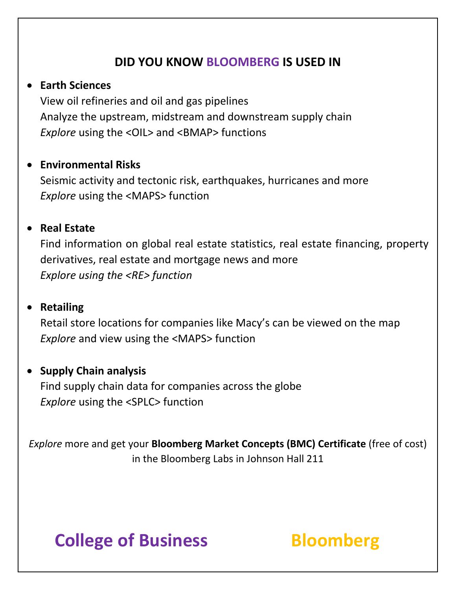## **DID YOU KNOW BLOOMBERG IS USED IN**

#### • **Earth Sciences**

View oil refineries and oil and gas pipelines Analyze the upstream, midstream and downstream supply chain **Explore** using the <OIL> and <BMAP> functions

### • **Environmental Risks**

Seismic activity and tectonic risk, earthquakes, hurricanes and more *Explore* using the <MAPS> function

### • **Real Estate**

Find information on global real estate statistics, real estate financing, property derivatives, real estate and mortgage news and more *Explore using the <RE> function*

### • **Retailing**

Retail store locations for companies like Macy's can be viewed on the map *Explore* and view using the <MAPS> function

### • **Supply Chain analysis**

Find supply chain data for companies across the globe *Explore* using the <SPLC> function

*Explore* more and get your **Bloomberg Market Concepts (BMC) Certificate** (free of cost) in the Bloomberg Labs in Johnson Hall 211

# **College of Business Bloomberg**